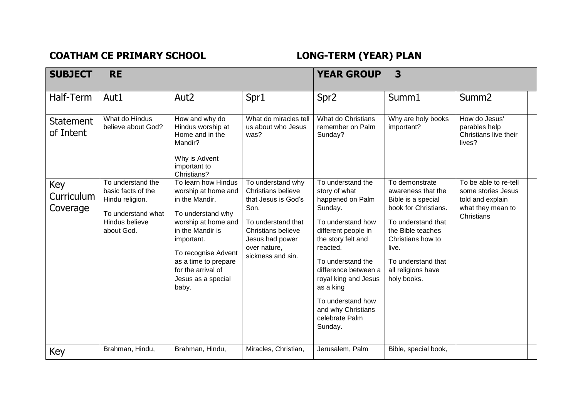## COATHAM CE PRIMARY SCHOOL **LONG-TERM** (YEAR) PLAN

| <b>SUBJECT</b>                | <b>RE</b>                                                                                                        |                                                                                                                                                                                                                                                |                                                                                                                                                                                          | <b>YEAR GROUP</b>                                                                                                                                                                                                                                                                                         | 3                                                                                                                                                                                                                      |                                                                                                    |
|-------------------------------|------------------------------------------------------------------------------------------------------------------|------------------------------------------------------------------------------------------------------------------------------------------------------------------------------------------------------------------------------------------------|------------------------------------------------------------------------------------------------------------------------------------------------------------------------------------------|-----------------------------------------------------------------------------------------------------------------------------------------------------------------------------------------------------------------------------------------------------------------------------------------------------------|------------------------------------------------------------------------------------------------------------------------------------------------------------------------------------------------------------------------|----------------------------------------------------------------------------------------------------|
| Half-Term                     | Aut1                                                                                                             | Aut <sub>2</sub>                                                                                                                                                                                                                               | Spr1                                                                                                                                                                                     | Spr <sub>2</sub>                                                                                                                                                                                                                                                                                          | Summ1                                                                                                                                                                                                                  | Summ <sub>2</sub>                                                                                  |
| <b>Statement</b><br>of Intent | What do Hindus<br>believe about God?                                                                             | How and why do<br>Hindus worship at<br>Home and in the<br>Mandir?<br>Why is Advent<br>important to<br>Christians?                                                                                                                              | What do miracles tell<br>us about who Jesus<br>was?                                                                                                                                      | What do Christians<br>remember on Palm<br>Sunday?                                                                                                                                                                                                                                                         | Why are holy books<br>important?                                                                                                                                                                                       | How do Jesus'<br>parables help<br>Christians live their<br>lives?                                  |
| Key<br>Curriculum<br>Coverage | To understand the<br>basic facts of the<br>Hindu religion.<br>To understand what<br>Hindus believe<br>about God. | To learn how Hindus<br>worship at home and<br>in the Mandir.<br>To understand why<br>worship at home and<br>in the Mandir is<br>important.<br>To recognise Advent<br>as a time to prepare<br>for the arrival of<br>Jesus as a special<br>baby. | To understand why<br><b>Christians believe</b><br>that Jesus is God's<br>Son.<br>To understand that<br><b>Christians believe</b><br>Jesus had power<br>over nature,<br>sickness and sin. | To understand the<br>story of what<br>happened on Palm<br>Sunday.<br>To understand how<br>different people in<br>the story felt and<br>reacted.<br>To understand the<br>difference between a<br>royal king and Jesus<br>as a king<br>To understand how<br>and why Christians<br>celebrate Palm<br>Sunday. | To demonstrate<br>awareness that the<br>Bible is a special<br>book for Christians.<br>To understand that<br>the Bible teaches<br>Christians how to<br>live.<br>To understand that<br>all religions have<br>holy books. | To be able to re-tell<br>some stories Jesus<br>told and explain<br>what they mean to<br>Christians |
| Key                           | Brahman, Hindu,                                                                                                  | Brahman, Hindu,                                                                                                                                                                                                                                | Miracles, Christian,                                                                                                                                                                     | Jerusalem, Palm                                                                                                                                                                                                                                                                                           | Bible, special book,                                                                                                                                                                                                   |                                                                                                    |